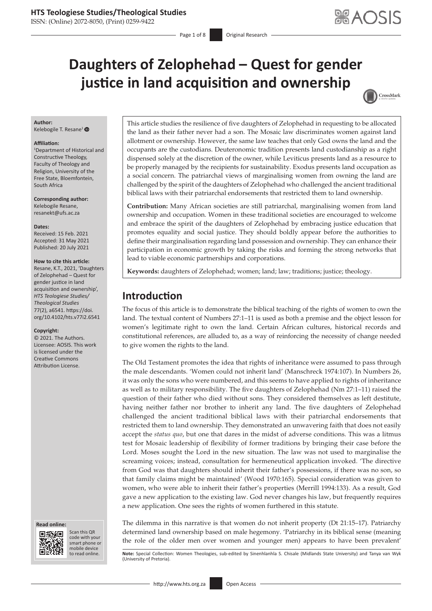ISSN: (Online) 2072-8050, (Print) 0259-9422

Page 1 of 8 **Original Research** 

# **Daughters of Zelophehad – Quest for gender justice in land acquisition and ownership**



#### **Author:**

Kelebogile T. Resane<sup>1</sup>

#### **Affiliation:**

1 Department of Historical and Constructive Theology, Faculty of Theology and Religion, University of the Free State, Bloemfontein, South Africa

**Corresponding author:** Kelebogile Resane, [resanekt@ufs.ac.za](mailto:resanekt@ufs.ac.za)

#### **Dates:**

Received: 15 Feb. 2021 Accepted: 31 May 2021 Published: 20 July 2021

#### **How to cite this article:**

Resane, K.T., 2021, 'Daughters of Zelophehad – Quest for gender justice in land acquisition and ownership', *HTS Teologiese Studies/ Theological Studies* 77(2), a6541. [https://doi.](https://doi.org/10.4102/hts.v77i2.6541) [org/10.4102/hts.v77i2.6541](https://doi.org/10.4102/hts.v77i2.6541)

#### **Copyright:**

© 2021. The Authors. Licensee: AOSIS. This work is licensed under the Creative Commons Attribution License.





Scan this QR code with your Scan this QR<br>code with your<br>smart phone or<br>mobile device mobile device to read online.

This article studies the resilience of five daughters of Zelophehad in requesting to be allocated the land as their father never had a son. The Mosaic law discriminates women against land allotment or ownership. However, the same law teaches that only God owns the land and the occupants are the custodians. Deuteronomic tradition presents land custodianship as a right dispensed solely at the discretion of the owner, while Leviticus presents land as a resource to be properly managed by the recipients for sustainability. Exodus presents land occupation as a social concern. The patriarchal views of marginalising women from owning the land are challenged by the spirit of the daughters of Zelophehad who challenged the ancient traditional biblical laws with their patriarchal endorsements that restricted them to land ownership.

**Contribution:** Many African societies are still patriarchal, marginalising women from land ownership and occupation. Women in these traditional societies are encouraged to welcome and embrace the spirit of the daughters of Zelophehad by embracing justice education that promotes equality and social justice. They should boldly appear before the authorities to define their marginalisation regarding land possession and ownership. They can enhance their participation in economic growth by taking the risks and forming the strong networks that lead to viable economic partnerships and corporations.

**Keywords:** daughters of Zelophehad; women; land; law; traditions; justice; theology.

# **Introduction**

The focus of this article is to demonstrate the biblical teaching of the rights of women to own the land. The textual content of Numbers 27:1–11 is used as both a premise and the object lesson for women's legitimate right to own the land. Certain African cultures, historical records and constitutional references, are alluded to, as a way of reinforcing the necessity of change needed to give women the rights to the land.

The Old Testament promotes the idea that rights of inheritance were assumed to pass through the male descendants. 'Women could not inherit land' (Manschreck 1974:107). In Numbers 26, it was only the sons who were numbered, and this seems to have applied to rights of inheritance as well as to military responsibility. The five daughters of Zelophehad (Nm 27:1–11) raised the question of their father who died without sons. They considered themselves as left destitute, having neither father nor brother to inherit any land. The five daughters of Zelophehad challenged the ancient traditional biblical laws with their patriarchal endorsements that restricted them to land ownership. They demonstrated an unwavering faith that does not easily accept the *status quo*, but one that dares in the midst of adverse conditions. This was a litmus test for Mosaic leadership of flexibility of former traditions by bringing their case before the Lord. Moses sought the Lord in the new situation. The law was not used to marginalise the screaming voices; instead, consultation for hermeneutical application invoked. 'The directive from God was that daughters should inherit their father's possessions, if there was no son, so that family claims might be maintained' (Wood 1970:165). Special consideration was given to women, who were able to inherit their father's properties (Merrill 1994:133). As a result, God gave a new application to the existing law. God never changes his law, but frequently requires a new application. One sees the rights of women furthered in this statute.

The dilemma in this narrative is that women do not inherit property (Dt 21:15–17). Patriarchy determined land ownership based on male hegemony. 'Patriarchy in its biblical sense (meaning the role of the older men over women and younger men) appears to have been prevalent'

Note: Special Collection: Women Theologies, sub-edited by Sinenhlanhla S. Chisale (Midlands State University) and Tanya van Wyk (University of Pretoria).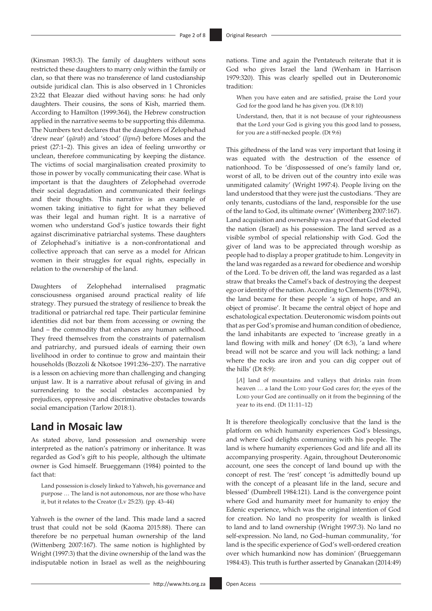(Kinsman 1983:3). The family of daughters without sons restricted these daughters to marry only within the family or clan, so that there was no transference of land custodianship outside juridical clan. This is also observed in 1 Chronicles 23:22 that Eleazar died without having sons: he had only daughters. Their cousins, the sons of Kish, married them. According to Hamilton (1999:364), the Hebrew construction applied in the narrative seems to be supporting this dilemma. The Numbers text declares that the daughters of Zelophehad 'drew near' (qārab) and 'stood' (lipnê) before Moses and the priest (27:1–2). This gives an idea of feeling unworthy or unclean, therefore communicating by keeping the distance. The victims of social marginalisation created proximity to those in power by vocally communicating their case. What is important is that the daughters of Zelophehad overrode their social degradation and communicated their feelings and their thoughts. This narrative is an example of women taking initiative to fight for what they believed was their legal and human right. It is a narrative of women who understand God's justice towards their fight against discriminative patriarchal systems. These daughters of Zelophehad's initiative is a non-confrontational and collective approach that can serve as a model for African women in their struggles for equal rights, especially in relation to the ownership of the land.

Daughters of Zelophehad internalised pragmatic consciousness organised around practical reality of life strategy. They pursued the strategy of resilience to break the traditional or patriarchal red tape. Their particular feminine identities did not bar them from accessing or owning the land – the commodity that enhances any human selfhood. They freed themselves from the constraints of paternalism and patriarchy, and pursued ideals of earning their own livelihood in order to continue to grow and maintain their households (Bozzoli & Nkotsoe 1991:236–237). The narrative is a lesson on achieving more than challenging and changing unjust law. It is a narrative about refusal of giving in and surrendering to the social obstacles accompanied by prejudices, oppressive and discriminative obstacles towards social emancipation (Tarlow 2018:1).

# **Land in Mosaic law**

As stated above, land possession and ownership were interpreted as the nation's patrimony or inheritance. It was regarded as God's gift to his people, although the ultimate owner is God himself. Brueggemann (1984) pointed to the fact that:

Land possession is closely linked to Yahweh, his governance and purpose … The land is not autonomous, nor are those who have it, but it relates to the Creator (Lv 25:23). (pp. 43–44)

Yahweh is the owner of the land. This made land a sacred trust that could not be sold (Kaoma 2015:88). There can therefore be no perpetual human ownership of the land (Wittenberg 2007:167). The same notion is highlighted by Wright (1997:3) that the divine ownership of the land was the indisputable notion in Israel as well as the neighbouring

nations. Time and again the Pentateuch reiterate that it is God who gives Israel the land (Wenham in Harrison 1979:320). This was clearly spelled out in Deuteronomic tradition:

When you have eaten and are satisfied, praise the Lord your God for the good land he has given you. (Dt 8:10)

Understand, then, that it is not because of your righteousness that the Lord your God is giving you this good land to possess, for you are a stiff-necked people. (Dt 9:6)

This giftedness of the land was very important that losing it was equated with the destruction of the essence of nationhood. To be 'dispossessed of one's family land or, worst of all, to be driven out of the country into exile was unmitigated calamity' (Wright 1997:4). People living on the land understood that they were just the custodians. 'They are only tenants, custodians of the land, responsible for the use of the land to God, its ultimate owner' (Wittenberg 2007:167). Land acquisition and ownership was a proof that God elected the nation (Israel) as his possession. The land served as a visible symbol of special relationship with God. God the giver of land was to be appreciated through worship as people had to display a proper gratitude to him. Longevity in the land was regarded as a reward for obedience and worship of the Lord. To be driven off, the land was regarded as a last straw that breaks the Camel's back of destroying the deepest ego or identity of the nation. According to Clements (1978:94), the land became for these people 'a sign of hope, and an object of promise'. It became the central object of hope and eschatological expectation. Deuteronomic wisdom points out that as per God's promise and human condition of obedience, the land inhabitants are expected to 'increase greatly in a land flowing with milk and honey' (Dt 6:3), 'a land where bread will not be scarce and you will lack nothing; a land where the rocks are iron and you can dig copper out of the hills' (Dt 8:9):

[*A*] land of mountains and valleys that drinks rain from heaven ... a land the LORD your God cares for; the eyes of the LORD your God are continually on it from the beginning of the year to its end. (Dt 11:11–12)

It is therefore theologically conclusive that the land is the platform on which humanity experiences God's blessings, and where God delights communing with his people. The land is where humanity experiences God and life and all its accompanying prosperity. Again, throughout Deuteronomic account, one sees the concept of land bound up with the concept of rest. The 'rest' concept 'is admittedly bound up with the concept of a pleasant life in the land, secure and blessed' (Dumbrell 1984:121). Land is the convergence point where God and humanity meet for humanity to enjoy the Edenic experience, which was the original intention of God for creation. No land no prosperity for wealth is linked to land and to land ownership (Wright 1997:3). No land no self-expression. No land, no God–human communality, 'for land is the specific experience of God's well-ordered creation over which humankind now has dominion' (Brueggemann 1984:43). This truth is further asserted by Gnanakan (2014:49)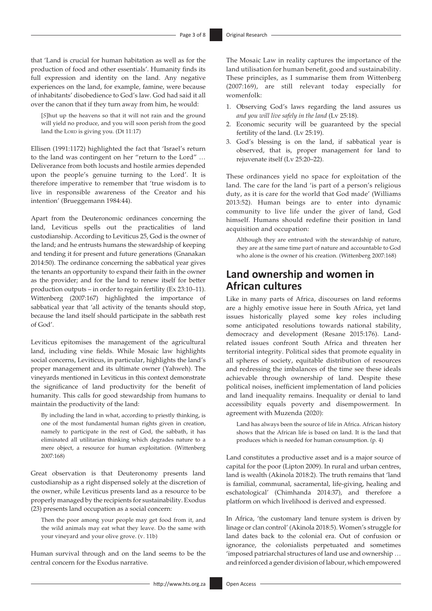that 'Land is crucial for human habitation as well as for the production of food and other essentials'. Humanity finds its full expression and identity on the land. Any negative experiences on the land, for example, famine, were because of inhabitants' disobedience to God's law. God had said it all over the canon that if they turn away from him, he would:

[*S*]hut up the heavens so that it will not rain and the ground will yield no produce, and you will soon perish from the good land the Lorp is giving you. (Dt 11:17)

Ellisen (1991:1172) highlighted the fact that 'Israel's return to the land was contingent on her "return to the Lord" … Deliverance from both locusts and hostile armies depended upon the people's genuine turning to the Lord'. It is therefore imperative to remember that 'true wisdom is to live in responsible awareness of the Creator and his intention' (Brueggemann 1984:44).

Apart from the Deuteronomic ordinances concerning the land, Leviticus spells out the practicalities of land custodianship. According to Leviticus 25, God is the owner of the land; and he entrusts humans the stewardship of keeping and tending it for present and future generations (Gnanakan 2014:50). The ordinance concerning the sabbatical year gives the tenants an opportunity to expand their faith in the owner as the provider; and for the land to renew itself for better production outputs – in order to regain fertility (Ex 23:10–11). Wittenberg (2007:167) highlighted the importance of sabbatical year that 'all activity of the tenants should stop, because the land itself should participate in the sabbath rest of God'.

Leviticus epitomises the management of the agricultural land, including vine fields. While Mosaic law highlights social concerns, Leviticus, in particular, highlights the land's proper management and its ultimate owner (Yahweh). The vineyards mentioned in Leviticus in this context demonstrate the significance of land productivity for the benefit of humanity. This calls for good stewardship from humans to maintain the productivity of the land:

By including the land in what, according to priestly thinking, is one of the most fundamental human rights given in creation, namely to participate in the rest of God, the sabbath, it has eliminated all utilitarian thinking which degrades nature to a mere object, a resource for human exploitation. (Wittenberg 2007:168)

Great observation is that Deuteronomy presents land custodianship as a right dispensed solely at the discretion of the owner, while Leviticus presents land as a resource to be properly managed by the recipients for sustainability. Exodus (23) presents land occupation as a social concern:

Then the poor among your people may get food from it, and the wild animals may eat what they leave. Do the same with your vineyard and your olive grove. (v. 11b)

Human survival through and on the land seems to be the central concern for the Exodus narrative.

The Mosaic Law in reality captures the importance of the land utilisation for human benefit, good and sustainability. These principles, as I summarise them from Wittenberg (2007:169), are still relevant today especially for womenfolk:

- 1. Observing God's laws regarding the land assures us *and you will live safely in the land* (Lv 25:18).
- 2. Economic security will be guaranteed by the special fertility of the land. (Lv 25:19).
- 3. God's blessing is on the land, if sabbatical year is observed, that is, proper management for land to rejuvenate itself (Lv 25:20–22).

These ordinances yield no space for exploitation of the land. The care for the land 'is part of a person's religious duty, as it is care for the world that God made' (Williams 2013:52). Human beings are to enter into dynamic community to live life under the giver of land, God himself. Humans should redefine their position in land acquisition and occupation:

Although they are entrusted with the stewardship of nature, they are at the same time part of nature and accountable to God who alone is the owner of his creation. (Wittenberg 2007:168)

# **Land ownership and women in African cultures**

Like in many parts of Africa, discourses on land reforms are a highly emotive issue here in South Africa, yet land issues historically played some key roles including some anticipated resolutions towards national stability, democracy and development (Resane 2015:176). Landrelated issues confront South Africa and threaten her territorial integrity. Political sides that promote equality in all spheres of society, equitable distribution of resources and redressing the imbalances of the time see these ideals achievable through ownership of land. Despite these political noises, inefficient implementation of land policies and land inequality remains. Inequality or denial to land accessibility equals poverty and disempowerment. In agreement with Muzenda (2020):

Land has always been the source of life in Africa. African history shows that the African life is based on land. It is the land that produces which is needed for human consumption. (p. 4)

Land constitutes a productive asset and is a major source of capital for the poor (Lipton 2009). In rural and urban centres, land is wealth (Akinola 2018:2). The truth remains that 'land is familial, communal, sacramental, life-giving, healing and eschatological' (Chimhanda 2014:37), and therefore a platform on which livelihood is derived and expressed.

In Africa, 'the customary land tenure system is driven by linage or clan control' (Akinola 2018:5). Women's struggle for land dates back to the colonial era. Out of confusion or ignorance, the colonialists perpetuated and sometimes 'imposed patriarchal structures of land use and ownership … and reinforced a gender division of labour, which empowered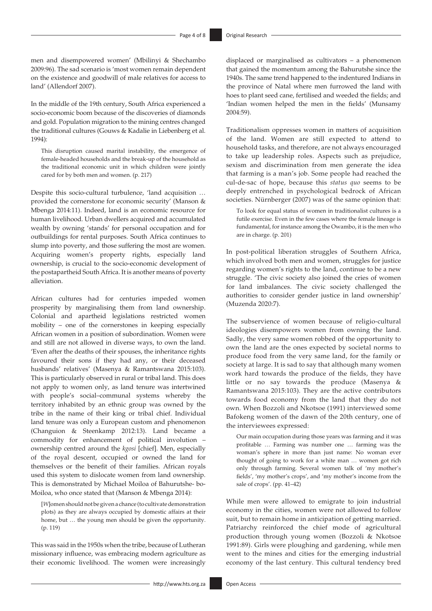men and disempowered women' (Mbilinyi & Shechambo 2009:96). The sad scenario is 'most women remain dependent on the existence and goodwill of male relatives for access to land' (Allendorf 2007).

In the middle of the 19th century, South Africa experienced a socio-economic boom because of the discoveries of diamonds and gold. Population migration to the mining centres changed the traditional cultures (Gouws & Kadalie in Liebenberg et al. 1994):

This disruption caused marital instability, the emergence of female-headed households and the break-up of the household as the traditional economic unit in which children were jointly cared for by both men and women. (p. 217)

Despite this socio-cultural turbulence, 'land acquisition … provided the cornerstone for economic security' (Manson & Mbenga 2014:11). Indeed, land is an economic resource for human livelihood. Urban dwellers acquired and accumulated wealth by owning 'stands' for personal occupation and for outbuildings for rental purposes. South Africa continues to slump into poverty, and those suffering the most are women. Acquiring women's property rights, especially land ownership, is crucial to the socio-economic development of the postapartheid South Africa. It is another means of poverty alleviation.

African cultures had for centuries impeded women prosperity by marginalising them from land ownership. Colonial and apartheid legislations restricted women mobility – one of the cornerstones in keeping especially African women in a position of subordination. Women were and still are not allowed in diverse ways, to own the land. 'Even after the deaths of their spouses, the inheritance rights favoured their sons if they had any, or their deceased husbands' relatives' (Masenya & Ramantswana 2015:103). This is particularly observed in rural or tribal land. This does not apply to women only, as land tenure was intertwined with people's social–communal systems whereby the territory inhabited by an ethnic group was owned by the tribe in the name of their king or tribal chief. Individual land tenure was only a European custom and phenomenon (Changuion & Steenkamp 2012:13). Land became a commodity for enhancement of political involution – ownership centred around the *kgosi* [chief]. Men, especially of the royal descent, occupied or owned the land for themselves or the benefit of their families. African royals used this system to dislocate women from land ownership. This is demonstrated by Michael Moiloa of Bahurutshe- bo-Moiloa, who once stated that (Manson & Mbenga 2014):

[*W*]omen should not be given a chance (to cultivate demonstration plots) as they are always occupied by domestic affairs at their home, but … the young men should be given the opportunity. (p. 119)

This was said in the 1950s when the tribe, because of Lutheran missionary influence, was embracing modern agriculture as their economic livelihood. The women were increasingly

displaced or marginalised as cultivators – a phenomenon that gained the momentum among the Bahurutshe since the 1940s. The same trend happened to the indentured Indians in the province of Natal where men furrowed the land with hoes to plant seed cane, fertilised and weeded the fields; and 'Indian women helped the men in the fields' (Munsamy 2004:59).

Traditionalism oppresses women in matters of acquisition of the land. Women are still expected to attend to household tasks, and therefore, are not always encouraged to take up leadership roles. Aspects such as prejudice, sexism and discrimination from men generate the idea that farming is a man's job. Some people had reached the cul-de-sac of hope, because this *status quo* seems to be deeply entrenched in psychological bedrock of African societies. Nürnberger (2007) was of the same opinion that:

To look for equal status of women in traditionalist cultures is a futile exercise. Even in the few cases where the female lineage is fundamental, for instance among the Owambo, it is the men who are in charge. (p. 201)

In post-political liberation struggles of Southern Africa, which involved both men and women, struggles for justice regarding women's rights to the land, continue to be a new struggle. 'The civic society also joined the cries of women for land imbalances. The civic society challenged the authorities to consider gender justice in land ownership' (Muzenda 2020:7).

The subservience of women because of religio-cultural ideologies disempowers women from owning the land. Sadly, the very same women robbed of the opportunity to own the land are the ones expected by societal norms to produce food from the very same land, for the family or society at large. It is sad to say that although many women work hard towards the produce of the fields, they have little or no say towards the produce (Masenya & Ramantswana 2015:103). They are the active contributors towards food economy from the land that they do not own. When Bozzoli and Nkotsoe (1991) interviewed some Bafokeng women of the dawn of the 20th century, one of the interviewees expressed:

Our main occupation during those years was farming and it was profitable … Farming was number one … farming was the woman's sphere in more than just name: No woman ever thought of going to work for a white man … women got rich only through farming. Several women talk of 'my mother's fields', 'my mother's crops', and 'my mother's income from the sale of crops'. (pp. 41–42)

While men were allowed to emigrate to join industrial economy in the cities, women were not allowed to follow suit, but to remain home in anticipation of getting married. Patriarchy reinforced the chief mode of agricultural production through young women (Bozzoli & Nkotsoe 1991:89). Girls were ploughing and gardening, while men went to the mines and cities for the emerging industrial economy of the last century. This cultural tendency bred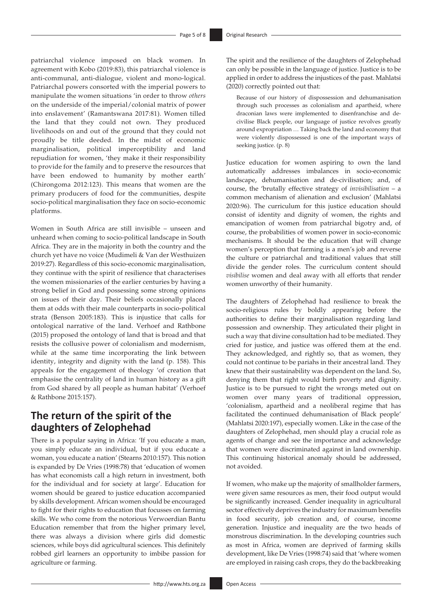patriarchal violence imposed on black women. In agreement with Kobo (2019:83), this patriarchal violence is anti-communal, anti-dialogue, violent and mono-logical. Patriarchal powers consorted with the imperial powers to manipulate the women situations 'in order to throw *others*  on the underside of the imperial/colonial matrix of power into enslavement' (Ramantswana 2017:81). Women tilled the land that they could not own. They produced livelihoods on and out of the ground that they could not proudly be title deeded. In the midst of economic marginalisation, political imperceptibility and land repudiation for women, 'they make it their responsibility to provide for the family and to preserve the resources that have been endowed to humanity by mother earth' (Chirongoma 2012:123). This means that women are the primary producers of food for the communities, despite socio-political marginalisation they face on socio-economic platforms.

Women in South Africa are still invisible – unseen and unheard when coming to socio-political landscape in South Africa. They are in the majority in both the country and the church yet have no voice (Mudimeli & Van der Westhuizen 2019:27). Regardless of this socio-economic marginalisation, they continue with the spirit of resilience that characterises the women missionaries of the earlier centuries by having a strong belief in God and possessing some strong opinions on issues of their day. Their beliefs occasionally placed them at odds with their male counterparts in socio-political strata (Benson 2005:183). This is injustice that calls for ontological narrative of the land. Verhoef and Rathbone (2015) proposed the ontology of land that is broad and that resists the collusive power of colonialism and modernism, while at the same time incorporating the link between identity, integrity and dignity with the land (p. 158). This appeals for the engagement of theology 'of creation that emphasise the centrality of land in human history as a gift from God shared by all people as human habitat' (Verhoef & Rathbone 2015:157).

# **The return of the spirit of the daughters of Zelophehad**

There is a popular saying in Africa: 'If you educate a man, you simply educate an individual, but if you educate a woman, you educate a nation' (Stearns 2010:157). This notion is expanded by De Vries (1998:78) that 'education of women has what economists call a high return in investment, both for the individual and for society at large'. Education for women should be geared to justice education accompanied by skills development. African women should be encouraged to fight for their rights to education that focusses on farming skills. We who come from the notorious Verwoerdian Bantu Education remember that from the higher primary level, there was always a division where girls did domestic sciences, while boys did agricultural sciences. This definitely robbed girl learners an opportunity to imbibe passion for agriculture or farming.

The spirit and the resilience of the daughters of Zelophehad can only be possible in the language of justice. Justice is to be applied in order to address the injustices of the past. Mahlatsi (2020) correctly pointed out that:

Because of our history of dispossession and dehumanisation through such processes as colonialism and apartheid, where draconian laws were implemented to disenfranchise and decivilise Black people, our language of justice revolves greatly around expropriation … Taking back the land and economy that were violently dispossessed is one of the important ways of seeking justice. (p. 8)

Justice education for women aspiring to own the land automatically addresses imbalances in socio-economic landscape, dehumanisation and de-civilisation; and, of course, the 'brutally effective strategy of *invisibilisation* – a common mechanism of alienation and exclusion' (Mahlatsi 2020:96). The curriculum for this justice education should consist of identity and dignity of women, the rights and emancipation of women from patriarchal bigotry and, of course, the probabilities of women power in socio-economic mechanisms. It should be the education that will change women's perception that farming is a men's job and reverse the culture or patriarchal and traditional values that still divide the gender roles. The curriculum content should *visibilise* women and deal away with all efforts that render women unworthy of their humanity.

The daughters of Zelophehad had resilience to break the socio-religious rules by boldly appearing before the authorities to define their marginalisation regarding land possession and ownership. They articulated their plight in such a way that divine consultation had to be mediated. They cried for justice, and justice was offered them at the end. They acknowledged, and rightly so, that as women, they could not continue to be pariahs in their ancestral land. They knew that their sustainability was dependent on the land. So, denying them that right would birth poverty and dignity. Justice is to be pursued to right the wrongs meted out on women over many years of traditional oppression, 'colonialism, apartheid and a neoliberal regime that has facilitated the continued dehumanisation of Black people' (Mahlatsi 2020:197), especially women. Like in the case of the daughters of Zelophehad, men should play a crucial role as agents of change and see the importance and acknowledge that women were discriminated against in land ownership. This continuing historical anomaly should be addressed, not avoided.

If women, who make up the majority of smallholder farmers, were given same resources as men, their food output would be significantly increased. Gender inequality in agricultural sector effectively deprives the industry for maximum benefits in food security, job creation and, of course, income generation. Injustice and inequality are the two heads of monstrous discrimination. In the developing countries such as most in Africa, women are deprived of farming skills development, like De Vries (1998:74) said that 'where women are employed in raising cash crops, they do the backbreaking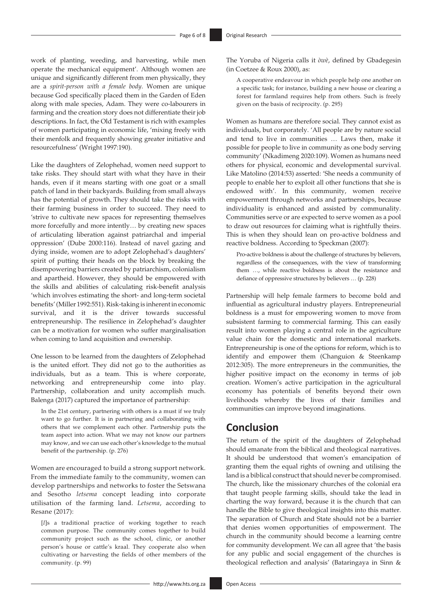work of planting, weeding, and harvesting, while men operate the mechanical equipment'. Although women are unique and significantly different from men physically, they are a *spirit-person with a female body*. Women are unique because God specifically placed them in the Garden of Eden along with male species, Adam. They were co-labourers in farming and the creation story does not differentiate their job descriptions. In fact, the Old Testament is rich with examples of women participating in economic life, 'mixing freely with their menfolk and frequently showing greater initiative and resourcefulness' (Wright 1997:190).

Like the daughters of Zelophehad, women need support to take risks. They should start with what they have in their hands, even if it means starting with one goat or a small patch of land in their backyards. Building from small always has the potential of growth. They should take the risks with their farming business in order to succeed. They need to 'strive to cultivate new spaces for representing themselves more forcefully and more intently… by creating new spaces of articulating liberation against patriarchal and imperial oppression' (Dube 2000:116). Instead of navel gazing and dying inside, women are to adopt Zelophehad's daughters' spirit of putting their heads on the block by breaking the disempowering barriers created by patriarchism, colonialism and apartheid. However, they should be empowered with the skills and abilities of calculating risk-benefit analysis 'which involves estimating the short- and long-term societal benefits' (Miller 1992:551). Risk-taking is inherent in economic survival, and it is the driver towards successful entrepreneurship. The resilience in Zelophehad's daughter can be a motivation for women who suffer marginalisation when coming to land acquisition and ownership.

One lesson to be learned from the daughters of Zelophehad is the united effort. They did not go to the authorities as individuals, but as a team. This is where corporate, networking and entrepreneurship come into play. Partnership, collaboration and unity accomplish much. Balenga (2017) captured the importance of partnership:

In the 21st century, partnering with others is a must if we truly want to go further. It is in partnering and collaborating with others that we complement each other. Partnership puts the team aspect into action. What we may not know our partners may know, and we can use each other's knowledge to the mutual benefit of the partnership. (p. 276)

Women are encouraged to build a strong support network. From the immediate family to the community, women can develop partnerships and networks to foster the Setswana and Sesotho *letsema* concept leading into corporate utilisation of the farming land. *Letsema*, according to Resane (2017):

[*I*]s a traditional practice of working together to reach common purpose. The community comes together to build community project such as the school, clinic, or another person's house or cattle's kraal. They cooperate also when cultivating or harvesting the fields of other members of the community. (p. 99)

The Yoruba of Nigeria calls it *òwè*, defined by Gbadegesin (in Coetzee & Roux 2000), as:

A cooperative endeavour in which people help one another on a specific task; for instance, building a new house or clearing a forest for farmland requires help from others. Such is freely given on the basis of reciprocity. (p. 295)

Women as humans are therefore social. They cannot exist as individuals, but corporately. 'All people are by nature social and tend to live in communities … Laws then, make it possible for people to live in community as one body serving community' (Nkadimeng 2020:109). Women as humans need others for physical, economic and developmental survival. Like Matolino (2014:53) asserted: 'She needs a community of people to enable her to exploit all other functions that she is endowed with'. In this community, women receive empowerment through networks and partnerships, because individuality is enhanced and assisted by communality. Communities serve or are expected to serve women as a pool to draw out resources for claiming what is rightfully theirs. This is when they should lean on pro-active boldness and reactive boldness. According to Speckman (2007):

Pro-active boldness is about the challenge of structures by believers, regardless of the consequences, with the view of transforming them …, while reactive boldness is about the resistance and defiance of oppressive structures by believers … (p. 228)

Partnership will help female farmers to become bold and influential as agricultural industry players. Entrepreneurial boldness is a must for empowering women to move from subsistent farming to commercial farming. This can easily result into women playing a central role in the agriculture value chain for the domestic and international markets. Entrepreneurship is one of the options for reform, which is to identify and empower them (Changuion & Steenkamp 2012:305). The more entrepreneurs in the communities, the higher positive impact on the economy in terms of job creation. Women's active participation in the agricultural economy has potentials of benefits beyond their own livelihoods whereby the lives of their families and communities can improve beyond imaginations.

### **Conclusion**

The return of the spirit of the daughters of Zelophehad should emanate from the biblical and theological narratives. It should be understood that women's emancipation of granting them the equal rights of owning and utilising the land is a biblical construct that should never be compromised. The church, like the missionary churches of the colonial era that taught people farming skills, should take the lead in charting the way forward, because it is the church that can handle the Bible to give theological insights into this matter. The separation of Church and State should not be a barrier that denies women opportunities of empowerment. The church in the community should become a learning centre for community development. We can all agree that 'the basis for any public and social engagement of the churches is theological reflection and analysis' (Bataringaya in Sinn &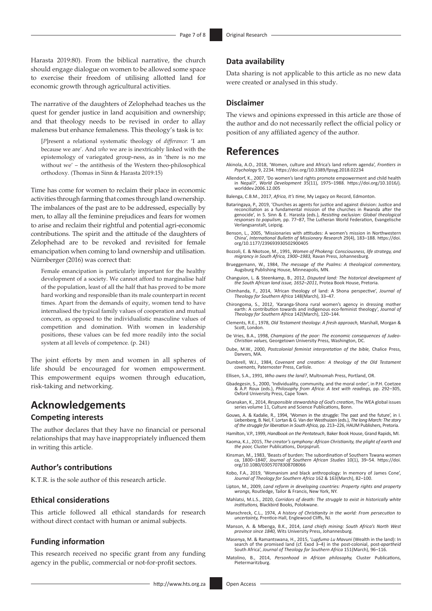Harasta 2019:80). From the biblical narrative, the church should engage dialogue on women to be allowed some space to exercise their freedom of utilising allotted land for economic growth through agricultural activities.

The narrative of the daughters of Zelophehad teaches us the quest for gender justice in land acquisition and ownership; and that theology needs to be revised in order to allay maleness but enhance femaleness. This theology's task is to:

[*P*]resent a relational systematic theology of *differance*: 'I am because we are'. And *who* we are is inextricably linked with the epistemology of variegated group-ness, as in 'there is no me without we' – the antithesis of the Western theo-philosophical orthodoxy. (Thomas in Sinn & Harasta 2019:15)

Time has come for women to reclaim their place in economic activities through farming that comes through land ownership. The imbalances of the past are to be addressed, especially by men, to allay all the feminine prejudices and fears for women to arise and reclaim their rightful and potential agri-economic contributions. The spirit and the attitude of the daughters of Zelophehad are to be revoked and revisited for female emancipation when coming to land ownership and utilisation. Nürnberger (2016) was correct that:

Female emancipation is particularly important for the healthy development of a society. We cannot afford to marginalise half of the population, least of all the half that has proved to be more hard working and responsible than its male counterpart in recent times. Apart from the demands of equity, women tend to have internalised the typical family values of cooperation and mutual concern, as opposed to the individualistic masculine values of competition and domination. With women in leadership positions, these values can be fed more readily into the social system at all levels of competence. (p. 241)

The joint efforts by men and women in all spheres of life should be encouraged for women empowerment. This empowerment equips women through education, risk-taking and networking.

# **Acknowledgements**

### **Competing interests**

The author declares that they have no financial or personal relationships that may have inappropriately influenced them in writing this article.

### **Author's contributions**

K.T.R. is the sole author of this research article.

#### **Ethical considerations**

This article followed all ethical standards for research without direct contact with human or animal subjects.

#### **Funding information**

This research received no specific grant from any funding agency in the public, commercial or not-for-profit sectors.

### **Data availability**

Data sharing is not applicable to this article as no new data were created or analysed in this study.

### **Disclaimer**

The views and opinions expressed in this article are those of the author and do not necessarily reflect the official policy or position of any affiliated agency of the author.

## **References**

- Akinola, A.O., 2018, 'Women, culture and Africa's land reform agenda', *Frontiers in Psychology* 9, 2234. <https://doi.org/10.3389/fpsyg.2018.02234>
- Allendorf, K., 2007, 'Do women's land rights promote empowerment and child health in Nepal?', *World Development* 35(11), 1975–1988. [https://doi.org/10.1016/j.](https://doi.org/10.1016/j.worlddev.2006.12.005) [worlddev.2006.12.005](https://doi.org/10.1016/j.worlddev.2006.12.005)
- Balenga, C.B.M., 2017, *Africa, It's time,* My Legacy on Record, Edmonton.
- Bataringaya, P., 2019, 'Churches as agents for justice and against division: Justice and reconciliation as a fundamental mission of the churches in Rwanda after the genocide', in S. Sinn & E. Harasta (eds.), *Resisting exclusion: Global theological responses to populism,* pp. 77–87, The Lutheran World Federation, Evangelische Verlangsanstalt, Leipzig.
- Benson, L., 2005, 'Missionaries with attitudes: A women's mission in Northwestern China', *International Bulletin of Missionary Research* 29(4), 183–188. [https://doi.](https://doi.org/10.1177/239693930502900405) [org/10.1177/239693930502900405](https://doi.org/10.1177/239693930502900405)
- Bozzoli, E. & Nkotsoe, M., 1991, *Women of Phokeng: Consciousness, life strategy, and migrancy in South Africa, 1900–1983,* Ravan Press, Johannesburg.
- Brueggemann, W., 1984, *The message of the Psalms: A theological commentary,* Augsburg Publishing House, Minneapolis, MN.
- Changuion, L. & Steenkamp, B., 2012, *Disputed land: The historical development of the South African land issue, 1652–2011*, Protea Book House, Pretoria.
- Chimhanda, F., 2014, 'African theology of land: A Shona perspective', *Journal of Theology for Southern Africa* 148(March), 33–47.
- Chirongoma, S., 2012, 'Karanga-Shona rural women's agency in dressing mother earth: A contribution towards and indigenous eco-feminist theology', *Journal of Theology for Southern Africa* 142(March), 120–144.
- Clements, R.E., 1978, *Old Testament theology: A fresh approach,* Marshall, Morgan & Scott, London.
- De Vries, B.A., 1998, *Champions of the poor: The economic consequences of Judeo-Christian values,* Georgetown University Press, Washington, DC.
- Dube, M.W., 2000, *Postcolonial feminist interpretation of the bible,* Chalice Press, Danvers, MA.
- Dumbrell, W.J., 1984, *Covenant and creation: A theology of the Old Testament covenants,* Paternoster Press, Carlisle.
- Ellisen, S.A., 1991, *Who owns the land?*, Multnomah Press, Portland, OR.
- Gbadegesin, S., 2000, 'Individuality, community, and the moral order', in P.H. Coetzee & A.P. Roux (eds.), *Philosophy from Africa: A text with readings,* pp. 292–305, Oxford University Press, Cape Town.
- Gnanakan, K., 2014, *Responsible stewardship of God's creation*, The WEA global issues series volume 11, Culture and Science Publications, Bonn.
- Gouws, A. & Kadalie, R., 1994, 'Women in the struggle: The past and the future', in I. Liebenberg, B. Nel, F. Lortan & G. Van der Westhuizen (eds.), *The long March: The story of the struggle for liberation in South Africa,* pp. 213–226, HAUM Publishers, Pretoria.
- Hamilton, V.P., 1999, *Handbook on the Pentateuch*, Baker Book House, Grand Rapids, MI.
- Kaoma, K.J., 2015, *The creator's symphony: African Christianity, the plight of earth and the poor.* Cluster Publications, Dorpspruit.
- Kinsman, M., 1983, 'Beasts of burden: The subordination of Southern Tswana women ca, 1800–1840', *Journal of Southern African Studies* 10(1), 39–54. [https://doi.](https://doi.org/10.1080/03057078308708066) [org/10.1080/03057078308708066](https://doi.org/10.1080/03057078308708066)
- Kobo, F.A., 2019, 'Womanism and black anthropology: In memory of James Cone', *Journal of Theology for Southern Africa* 162 & 163(March), 82–100.
- Lipton, M., 2009, *Land reform in developing countries: Property rights and property wrongs,* Routledge, Tailor & Francis, New York, NY.
- Mahlatsi, M.L.S., 2020, *Corridors of death: The struggle to exist in historically white institutions,* Blackbird Books, Polokwane.
- Manschreck, C.L., 1974, *A history of Christianity in the world: From persecution to uncertainty,* Prentice-Hall, Englewood Cliffs, NJ.
- Manson, A. & Mbenga, B.K., 2014, *Land chiefs mining: South Africa's North West province since 1840,* Wits University Press, Johannesburg.
- Masenya, M. & Ramantswana, H., 2015, '*Lupfumo Lu Mavuni* (Wealth in the land): In search of the promised land (cf. Exod 3–4) in the post-colonial, post-*apartheid* South Africa', *Journal of Theology for Southern Africa* 151(March), 96–116.
- Matolino, B., 2014, *Personhood in African philosophy,* Cluster Publications, **Pietermaritzburg**